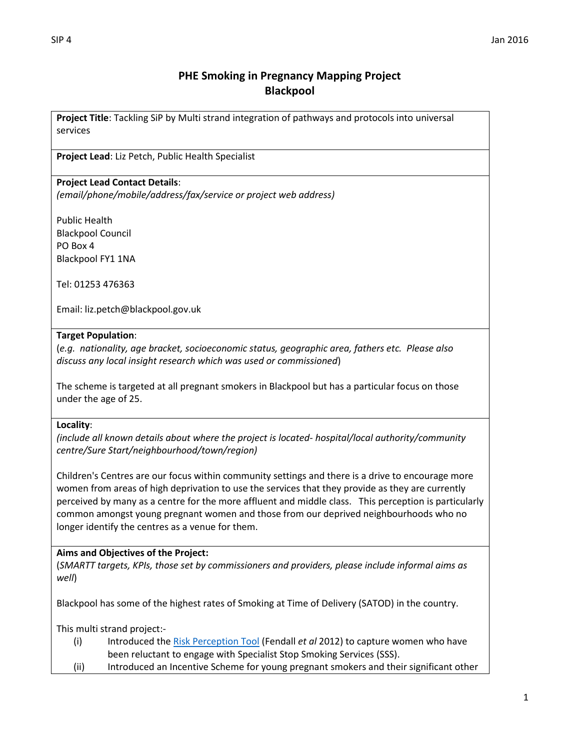# **PHE Smoking in Pregnancy Mapping Project Blackpool**

**Project Title**: Tackling SiP by Multi strand integration of pathways and protocols into universal services

**Project Lead**: Liz Petch, Public Health Specialist

### **Project Lead Contact Details**:

*(email/phone/mobile/address/fax/service or project web address)*

Public Health Blackpool Council PO Box 4 Blackpool FY1 1NA

Tel: 01253 476363

Email: liz.petch@blackpool.gov.uk

#### **Target Population**:

(*e.g. nationality, age bracket, socioeconomic status, geographic area, fathers etc. Please also discuss any local insight research which was used or commissioned*)

The scheme is targeted at all pregnant smokers in Blackpool but has a particular focus on those under the age of 25.

#### **Locality**:

*(include all known details about where the project is located- hospital/local authority/community centre/Sure Start/neighbourhood/town/region)*

Children's Centres are our focus within community settings and there is a drive to encourage more women from areas of high deprivation to use the services that they provide as they are currently perceived by many as a centre for the more affluent and middle class. This perception is particularly common amongst young pregnant women and those from our deprived neighbourhoods who no longer identify the centres as a venue for them.

#### **Aims and Objectives of the Project:**

(*SMARTT targets, KPIs, those set by commissioners and providers, please include informal aims as well*)

Blackpool has some of the highest rates of Smoking at Time of Delivery (SATOD) in the country.

This multi strand project:-

- (i) Introduced the [Risk Perception Tool](http://www.magonlinelibrary.com/doi/abs/10.12968/bjom.2012.20.4.236?journalCode=bjom) (Fendall *et al* 2012) to capture women who have been reluctant to engage with Specialist Stop Smoking Services (SSS).
- (ii) Introduced an Incentive Scheme for young pregnant smokers and their significant other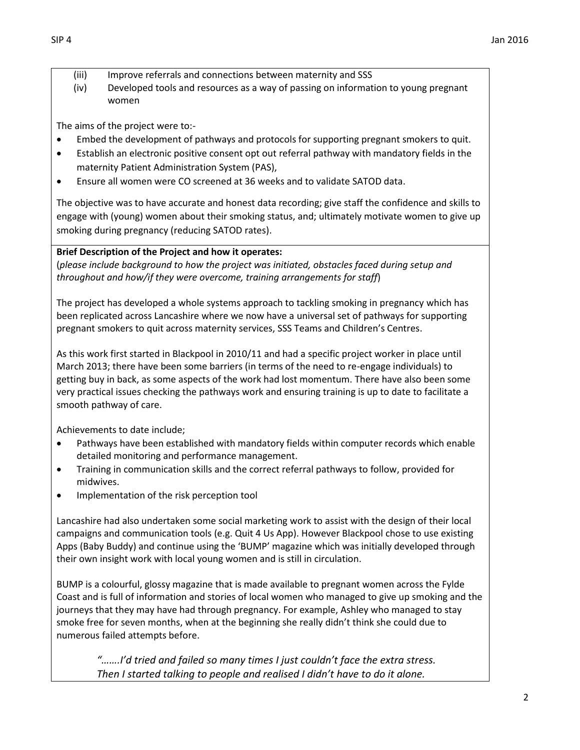- (iii) Improve referrals and connections between maternity and SSS
- (iv) Developed tools and resources as a way of passing on information to young pregnant women

The aims of the project were to:-

- Embed the development of pathways and protocols for supporting pregnant smokers to quit.
- Establish an electronic positive consent opt out referral pathway with mandatory fields in the maternity Patient Administration System (PAS),
- Ensure all women were CO screened at 36 weeks and to validate SATOD data.

The objective was to have accurate and honest data recording; give staff the confidence and skills to engage with (young) women about their smoking status, and; ultimately motivate women to give up smoking during pregnancy (reducing SATOD rates).

# **Brief Description of the Project and how it operates:**

(*please include background to how the project was initiated, obstacles faced during setup and throughout and how/if they were overcome, training arrangements for staff*)

The project has developed a whole systems approach to tackling smoking in pregnancy which has been replicated across Lancashire where we now have a universal set of pathways for supporting pregnant smokers to quit across maternity services, SSS Teams and Children's Centres.

As this work first started in Blackpool in 2010/11 and had a specific project worker in place until March 2013; there have been some barriers (in terms of the need to re-engage individuals) to getting buy in back, as some aspects of the work had lost momentum. There have also been some very practical issues checking the pathways work and ensuring training is up to date to facilitate a smooth pathway of care.

Achievements to date include;

- Pathways have been established with mandatory fields within computer records which enable detailed monitoring and performance management.
- Training in communication skills and the correct referral pathways to follow, provided for midwives.
- **•** Implementation of the risk perception tool

Lancashire had also undertaken some social marketing work to assist with the design of their local campaigns and communication tools (e.g. Quit 4 Us App). However Blackpool chose to use existing Apps (Baby Buddy) and continue using the 'BUMP' magazine which was initially developed through their own insight work with local young women and is still in circulation.

BUMP is a colourful, glossy magazine that is made available to pregnant women across the Fylde Coast and is full of information and stories of local women who managed to give up smoking and the journeys that they may have had through pregnancy. For example, Ashley who managed to stay smoke free for seven months, when at the beginning she really didn't think she could due to numerous failed attempts before.

*"…….I'd tried and failed so many times I just couldn't face the extra stress. Then I started talking to people and realised I didn't have to do it alone.*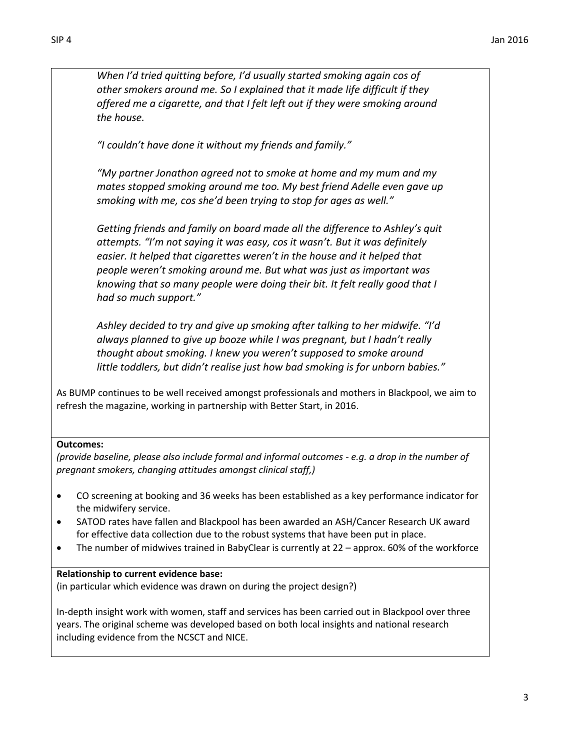*When I'd tried quitting before, I'd usually started smoking again cos of other smokers around me. So I explained that it made life difficult if they offered me a cigarette, and that I felt left out if they were smoking around the house.* 

*"I couldn't have done it without my friends and family."*

*"My partner Jonathon agreed not to smoke at home and my mum and my mates stopped smoking around me too. My best friend Adelle even gave up smoking with me, cos she'd been trying to stop for ages as well."*

*Getting friends and family on board made all the difference to Ashley's quit attempts. "I'm not saying it was easy, cos it wasn't. But it was definitely easier. It helped that cigarettes weren't in the house and it helped that people weren't smoking around me. But what was just as important was knowing that so many people were doing their bit. It felt really good that I had so much support."*

*Ashley decided to try and give up smoking after talking to her midwife. "I'd always planned to give up booze while I was pregnant, but I hadn't really thought about smoking. I knew you weren't supposed to smoke around little toddlers, but didn't realise just how bad smoking is for unborn babies."*

As BUMP continues to be well received amongst professionals and mothers in Blackpool, we aim to refresh the magazine, working in partnership with Better Start, in 2016.

# **Outcomes:**

*(provide baseline, please also include formal and informal outcomes - e.g. a drop in the number of pregnant smokers, changing attitudes amongst clinical staff,)*

- CO screening at booking and 36 weeks has been established as a key performance indicator for the midwifery service.
- SATOD rates have fallen and Blackpool has been awarded an ASH/Cancer Research UK award for effective data collection due to the robust systems that have been put in place.
- The number of midwives trained in BabyClear is currently at 22 approx. 60% of the workforce

# **Relationship to current evidence base:**

(in particular which evidence was drawn on during the project design?)

In-depth insight work with women, staff and services has been carried out in Blackpool over three years. The original scheme was developed based on both local insights and national research including evidence from the NCSCT and NICE.